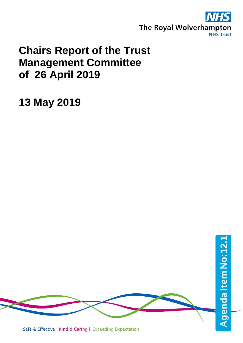

## **Chairs Report of the Trust Management Committee of 26 April 2019**

**13 May 2019**

Safe & Effective | Kind & Caring | Exceeding Expectation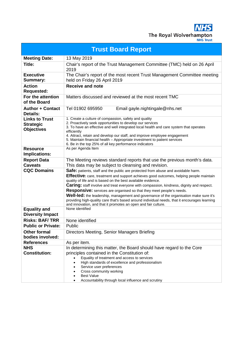**NHS** The Royal Wolverhampton

| <b>Trust Board Report</b>                                      |                                                                                                                                                                                                                                                                                                                                                                                                                                                                                                                                                                                                                                                                                            |  |
|----------------------------------------------------------------|--------------------------------------------------------------------------------------------------------------------------------------------------------------------------------------------------------------------------------------------------------------------------------------------------------------------------------------------------------------------------------------------------------------------------------------------------------------------------------------------------------------------------------------------------------------------------------------------------------------------------------------------------------------------------------------------|--|
| <b>Meeting Date:</b>                                           | 13 May 2019                                                                                                                                                                                                                                                                                                                                                                                                                                                                                                                                                                                                                                                                                |  |
| Title:                                                         | Chair's report of the Trust Management Committee (TMC) held on 26 April<br>2019                                                                                                                                                                                                                                                                                                                                                                                                                                                                                                                                                                                                            |  |
| <b>Executive</b><br><b>Summary:</b>                            | The Chair's report of the most recent Trust Management Committee meeting<br>held on Friday 26 April 2019                                                                                                                                                                                                                                                                                                                                                                                                                                                                                                                                                                                   |  |
| <b>Action</b><br><b>Requested:</b>                             | <b>Receive and note</b>                                                                                                                                                                                                                                                                                                                                                                                                                                                                                                                                                                                                                                                                    |  |
| For the attention<br>of the Board                              | Matters discussed and reviewed at the most recent TMC                                                                                                                                                                                                                                                                                                                                                                                                                                                                                                                                                                                                                                      |  |
| <b>Author + Contact</b><br><b>Details:</b>                     | Tel 01902 695950<br>Email gayle.nightingale@nhs.net                                                                                                                                                                                                                                                                                                                                                                                                                                                                                                                                                                                                                                        |  |
| <b>Links to Trust</b><br><b>Strategic</b><br><b>Objectives</b> | 1. Create a culture of compassion, safety and quality<br>2. Proactively seek opportunities to develop our services<br>3. To have an effective and well integrated local health and care system that operates<br>efficiently<br>4. Attract, retain and develop our staff, and improve employee engagement<br>5. Maintain financial health - Appropriate investment to patient services<br>6. Be in the top 25% of all key performance indicators                                                                                                                                                                                                                                            |  |
| <b>Resource</b><br>Implications:                               | As per Agenda Item                                                                                                                                                                                                                                                                                                                                                                                                                                                                                                                                                                                                                                                                         |  |
| <b>Report Data</b><br><b>Caveats</b>                           | The Meeting reviews standard reports that use the previous month's data.<br>This data may be subject to cleansing and revision.                                                                                                                                                                                                                                                                                                                                                                                                                                                                                                                                                            |  |
| <b>CQC Domains</b>                                             | Safe: patients, staff and the public are protected from abuse and avoidable harm.<br>Effective: care, treatment and support achieves good outcomes, helping people maintain<br>quality of life and is based on the best available evidence.<br><b>Caring:</b> staff involve and treat everyone with compassion, kindness, dignity and respect.<br><b>Responsive:</b> services are organised so that they meet people's needs.<br>Well-led: the leadership, management and governance of the organisation make sure it's<br>providing high-quality care that's based around individual needs, that it encourages learning<br>and innovation, and that it promotes an open and fair culture. |  |
| <b>Equality and</b><br><b>Diversity Impact</b>                 | None identified                                                                                                                                                                                                                                                                                                                                                                                                                                                                                                                                                                                                                                                                            |  |
| <b>Risks: BAF/TRR</b>                                          | None identified                                                                                                                                                                                                                                                                                                                                                                                                                                                                                                                                                                                                                                                                            |  |
| <b>Public or Private:</b>                                      | Public                                                                                                                                                                                                                                                                                                                                                                                                                                                                                                                                                                                                                                                                                     |  |
| <b>Other formal</b><br>bodies involved:                        | Directors Meeting, Senior Managers Briefing                                                                                                                                                                                                                                                                                                                                                                                                                                                                                                                                                                                                                                                |  |
| <b>References</b>                                              | As per item.                                                                                                                                                                                                                                                                                                                                                                                                                                                                                                                                                                                                                                                                               |  |
| <b>NHS</b><br><b>Constitution:</b>                             | In determining this matter, the Board should have regard to the Core<br>principles contained in the Constitution of:<br>Equality of treatment and access to services<br>High standards of excellence and professionalism<br>Service user preferences<br>Cross community working<br><b>Best Value</b><br>Accountability through local influence and scrutiny                                                                                                                                                                                                                                                                                                                                |  |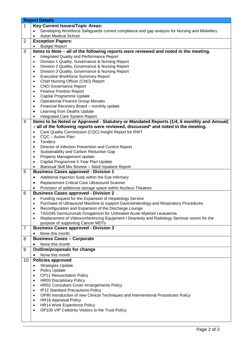|                | <b>Report Details</b>                                                                              |  |
|----------------|----------------------------------------------------------------------------------------------------|--|
| 1              | <b>Key Current Issues/Topic Areas:</b>                                                             |  |
|                | Developing Workforce Safeguards current compliance and gap analysis for Nursing and Midwifery      |  |
|                | <b>Aston Medical School</b>                                                                        |  |
| 2              | <b>Exception Papers:</b>                                                                           |  |
|                | <b>Budget Report</b>                                                                               |  |
| 3              | Items to Note - all of the following reports were reviewed and noted in the meeting.               |  |
|                | Integrated Quality and Performance Report<br>$\bullet$                                             |  |
|                | Division 1 Quality, Governance & Nursing Report<br>$\bullet$                                       |  |
|                | Division 2 Quality, Governance & Nursing Report<br>$\bullet$                                       |  |
|                | Division 3 Quality, Governance & Nursing Report<br>$\bullet$                                       |  |
|                | <b>Executive Workforce Summary Report</b><br>$\bullet$                                             |  |
|                | Chief Nursing Officer (CNO) Report<br>٠                                                            |  |
|                | <b>CNO Governance Report</b><br>٠                                                                  |  |
|                | <b>Finance Position Report</b><br>٠                                                                |  |
|                | Capital Programme Update<br>٠                                                                      |  |
|                | <b>Operational Finance Group Minutes</b><br>٠                                                      |  |
|                | Financial Recovery Board - monthly update<br>٠                                                     |  |
|                | Learning from Deaths Update                                                                        |  |
|                |                                                                                                    |  |
|                | Integrated Care System Report                                                                      |  |
| 4              | Items to be Noted or Approved - Statutory or Mandated Reports (1/4, 6 monthly and Annual)          |  |
|                | - all of the following reports were reviewed, discussed* and noted in the meeting.                 |  |
|                | Care Quality Commission (CQC) Insight Report for RWT                                               |  |
|                | CQC - Action Plan<br>$\bullet$                                                                     |  |
|                | <b>Tenders</b><br>$\bullet$                                                                        |  |
|                | Director of Infection Prevention and Control Report<br>٠                                           |  |
|                | Sustainability and Carbon Reduction Gap<br>٠                                                       |  |
|                | Property Management update<br>٠                                                                    |  |
|                | Capital Programme 5 Year Plan Update                                                               |  |
|                | Biannual Skill Mix Review - Adult Inpatient Report                                                 |  |
| 5              | <b>Business Cases approved - Division 1</b>                                                        |  |
|                | Additional Injection Suite within the Eye Infirmary<br>٠                                           |  |
|                | Replacement Critical Care Ultrasound Scanner<br>٠                                                  |  |
|                | Provision of additional storage space within Nucleus Theatres                                      |  |
| 6              | <b>Business Cases approved - Division 2</b>                                                        |  |
|                | Funding request for the Expansion of Hepatology Service                                            |  |
|                | Purchase of Ultrasound Machine to support Gastroenterology and Respiratory Procedures<br>$\bullet$ |  |
|                | Reconfiguration and Expansion of the Discharge Lounge                                              |  |
|                | TAG545 Gemtuzumab Ozogamicin for Untreated Acute Myeloid Leukaemia<br>٠                            |  |
|                | Replacement of Videoconferencing Equipment I Deanesly and Radiology Seminar rooms for the          |  |
|                | purpose of supporting Cancer MDTs                                                                  |  |
| $\overline{7}$ | <b>Business Cases approved - Division 3</b>                                                        |  |
|                | None this month                                                                                    |  |
| 8              | <b>Business Cases - Corporate</b>                                                                  |  |
|                | None this month                                                                                    |  |
|                |                                                                                                    |  |
| 9              | <b>Outline/proposals for change</b>                                                                |  |
|                | None this month                                                                                    |  |
| 10             | <b>Policies approved</b>                                                                           |  |
|                | <b>Strategies Update</b><br>٠                                                                      |  |
|                | Policy Update<br>٠                                                                                 |  |
|                | <b>CP11 Resuscitation Policy</b><br>٠                                                              |  |
|                | <b>HR03 Disciplinary Policy</b><br>٠                                                               |  |
|                | <b>HR52 Consultant Cover Arrangements Policy</b><br>٠                                              |  |
|                | IP12 Standard Precautions Policy<br>٠                                                              |  |
|                | OP95 Introduction of new Clinical Techniques and Interventional Procedures Policy<br>٠             |  |
|                | <b>HR18 Appraisal Policy</b><br>٠                                                                  |  |
|                | HR14 Work Experience Policy<br>٠                                                                   |  |
|                | OP105 VIP Celebrity Visitors to the Trust Policy<br>٠                                              |  |
|                |                                                                                                    |  |